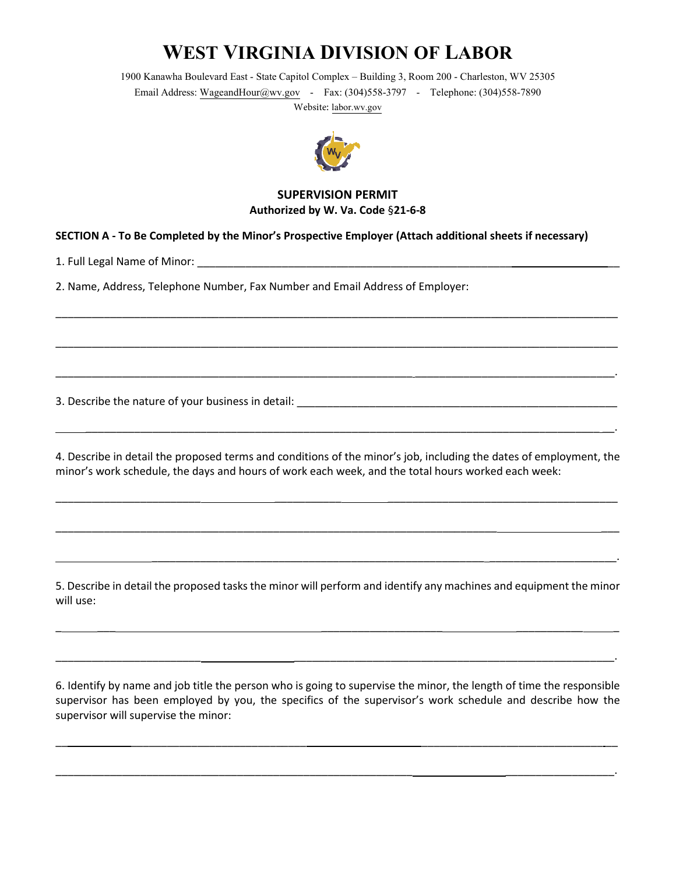## **WEST VIRGINIA DIVISION OF LABOR**

1900 Kanawha Boulevard East - State Capitol Complex– Building 3, Room 200- Charleston, WV 25305 Email Address: WageandHour@wv.gov - Fax: (304)558-3797 - Telephone: (304)558-7890 Website: labor.wv.gov



## **SUPERVISION PERMIT Authorized by W. Va. Code** §**21-6-8**

\_\_\_\_\_\_\_\_\_\_\_\_\_\_\_\_\_\_\_\_\_\_\_\_\_\_\_\_\_\_\_\_\_\_\_\_\_\_\_\_\_\_\_\_\_\_\_\_\_\_\_\_\_\_\_\_\_\_\_\_\_\_\_\_\_\_\_\_\_\_\_\_\_\_\_\_\_\_\_\_\_\_\_\_\_\_\_\_\_\_\_\_\_

\_\_\_\_\_\_\_\_\_\_\_\_\_\_\_\_\_\_\_\_\_\_\_\_\_\_\_\_\_\_\_\_\_\_\_\_\_\_\_\_\_\_\_\_\_\_\_\_\_\_\_\_\_\_\_\_\_\_\_\_\_\_\_\_\_\_\_\_\_\_\_\_\_\_\_\_\_\_\_\_\_\_\_\_\_\_\_\_\_\_\_\_\_

\_\_\_\_\_\_\_\_\_\_\_\_\_\_\_\_\_\_\_\_\_\_\_\_\_\_\_\_\_\_\_\_\_\_\_\_\_\_\_\_\_\_\_\_\_\_\_\_\_\_\_\_\_\_\_\_\_\_\_ \_\_\_\_\_\_\_\_\_\_\_\_\_\_\_\_\_\_\_\_\_\_\_\_\_\_\_\_\_\_\_\_\_.

## **SECTION A - To Be Completed by the Minor's Prospective Employer (Attach additional sheets if necessary)**

1. Full Legal Name of Minor: \_\_\_\_\_\_\_\_\_\_\_\_\_\_\_\_\_\_\_\_\_\_\_\_\_\_\_\_\_\_\_\_\_\_\_\_\_\_\_\_\_\_\_\_\_\_\_\_\_\_\_\_ \_\_

2. Name, Address, Telephone Number, Fax Number and Email Address of Employer:

3. Describe the nature of your business in detail: \_\_\_\_\_\_\_\_\_\_\_\_\_\_\_\_\_\_\_\_\_\_\_\_\_\_\_\_\_\_

4. Describe in detail the proposed terms and conditions of the minor's job, including the dates of employment, the minor's work schedule, the days and hours of work each week, and the total hours worked each week:

\_\_\_\_\_\_\_\_\_\_\_\_\_\_\_\_\_\_\_\_\_\_\_\_ \_\_\_\_\_\_\_\_\_\_\_ \_\_\_\_\_\_\_\_\_\_\_\_\_\_\_\_\_\_\_\_\_\_\_\_\_\_\_\_\_\_\_\_\_\_\_\_\_\_

\_\_\_\_\_\_\_\_\_\_\_\_\_\_\_\_\_\_\_\_\_\_\_\_\_\_\_\_\_\_\_\_\_\_\_\_\_\_\_\_\_\_\_\_\_\_\_\_\_\_\_\_\_\_\_\_\_\_\_\_\_\_\_\_\_\_\_\_\_\_\_\_\_ \_\_\_

\_\_\_\_\_\_\_\_\_\_\_\_\_\_\_\_\_\_\_\_\_\_\_\_\_\_\_\_\_\_\_\_\_\_\_\_\_\_\_\_\_\_\_\_\_\_\_\_\_\_\_\_\_\_\_ \_\_\_\_\_\_\_\_\_\_\_\_\_\_\_\_\_\_\_\_\_.

\_\_\_\_\_\_\_\_\_\_\_\_\_\_\_\_\_\_\_\_\_\_\_\_\_\_\_\_\_\_\_\_\_\_\_\_\_\_\_\_\_\_\_\_\_\_\_\_\_\_\_\_\_\_\_\_\_\_\_\_\_\_\_\_\_\_\_\_\_\_\_\_\_\_\_\_\_\_\_\_\_\_\_\_\_ \_\_.

5. Describe in detail the proposed tasks the minor will perform and identify any machines and equipment the minor will use:

 $\overline{\phantom{a}}$  , and the contract of the contract of the contract of the contract of the contract of the contract of the contract of the contract of the contract of the contract of the contract of the contract of the contrac

\_\_\_\_\_\_\_\_\_\_\_\_\_\_\_\_\_\_\_\_\_\_\_\_ \_\_\_\_\_\_\_\_\_\_\_\_\_\_\_\_\_\_\_\_\_\_\_\_\_\_\_\_\_\_\_\_\_\_\_\_\_\_\_\_\_\_\_\_\_\_\_\_\_\_\_\_\_.

6. Identify by name and job title the person who is going to supervise the minor, the length of time the responsible supervisor has been employed by you, the specifics of the supervisor's work schedule and describe how the supervisor will supervise the minor:

\_\_ \_\_\_\_\_\_\_\_\_\_\_\_\_\_\_\_\_\_\_\_\_\_\_\_\_\_\_\_\_ \_\_\_\_\_\_\_\_\_\_\_\_\_\_\_\_\_\_\_\_\_\_\_\_\_\_\_\_\_\_ \_\_

\_\_\_\_\_\_\_\_\_\_\_\_\_\_\_\_\_\_\_\_\_\_\_\_\_\_\_\_\_\_\_\_\_\_\_\_\_\_\_\_\_\_\_\_\_\_\_\_\_\_\_\_\_\_\_\_\_\_\_ \_\_\_\_\_\_\_\_\_\_\_\_\_\_\_\_\_\_.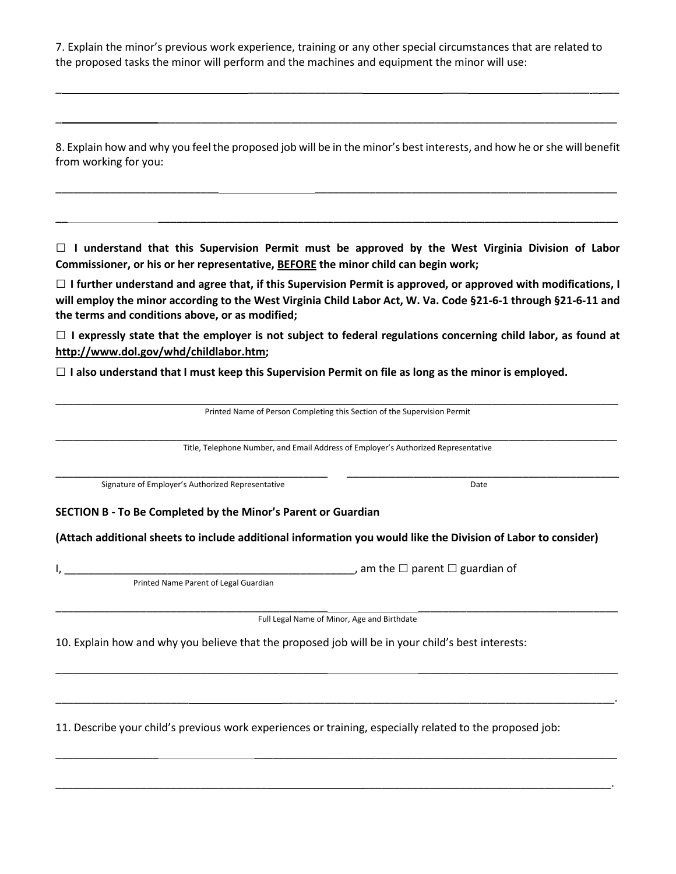7. Explain the minor's previous work experience, training or any other special circumstances that are related to the proposed tasks the minor will perform and the machines and equipment the minor will use:

8. Explain how and why you feel the proposed job will be in the minor's best interests, and how he or she will benefit from working for you:

\_\_\_\_\_\_\_\_\_\_\_\_\_\_\_\_\_\_\_\_\_\_\_\_\_\_\_ \_\_\_\_\_\_\_\_\_\_\_\_\_\_\_\_\_\_\_\_\_\_\_\_\_\_\_\_\_\_\_\_\_\_\_\_\_\_\_\_\_\_\_\_\_\_\_\_\_\_

**\_\_ \_\_\_\_\_\_\_\_\_\_\_\_\_\_\_\_\_\_\_\_\_\_\_\_\_\_\_\_\_\_\_\_\_\_\_\_\_\_\_\_\_\_\_\_\_\_\_\_\_\_\_\_\_\_\_\_\_\_\_\_\_\_\_\_\_\_\_\_\_\_\_\_\_\_\_\_**

\_ \_\_\_\_\_\_\_\_\_\_\_\_\_\_\_\_\_\_\_ \_\_\_\_ \_\_\_\_\_\_\_\_ \_ \_\_\_

\_ \_\_\_\_\_\_\_\_\_\_\_\_\_\_\_\_\_\_\_\_\_\_\_\_\_\_\_\_\_\_\_\_\_\_\_\_\_\_\_\_\_\_\_\_\_\_\_\_\_\_\_\_\_\_\_\_\_\_\_\_\_\_\_\_\_\_\_\_\_\_\_\_\_\_\_\_

□ **I understand that this Supervision Permit must be approved by the West Virginia Division of Labor Commissioner, or his or her representative, BEFORE the minor child can begin work;** 

□ **I further understand and agree that, if this Supervision Permit is approved, or approved with modifications, I will employ the minor according to the West Virginia Child Labor Act, W. Va. Code §21-6-1 through §21-6-11 and the terms and conditions above, or as modified;** 

□ **I expressly state that the employer is not subject to federal regulations concerning child labor, as found at http://www.dol.gov/whd/childlabor.htm;** 

□ **I also understand that I must keep this Supervision Permit on file as long as the minor is employed.**

| Printed Name of Person Completing this Section of the Supervision Permit<br>Title, Telephone Number, and Email Address of Employer's Authorized Representative |                                                                                                               |
|----------------------------------------------------------------------------------------------------------------------------------------------------------------|---------------------------------------------------------------------------------------------------------------|
|                                                                                                                                                                |                                                                                                               |
| SECTION B - To Be Completed by the Minor's Parent or Guardian                                                                                                  |                                                                                                               |
|                                                                                                                                                                |                                                                                                               |
|                                                                                                                                                                | (Attach additional sheets to include additional information you would like the Division of Labor to consider) |
|                                                                                                                                                                | , am the $\Box$ parent $\Box$ guardian of                                                                     |
| Printed Name Parent of Legal Guardian                                                                                                                          |                                                                                                               |
|                                                                                                                                                                | Full Legal Name of Minor, Age and Birthdate                                                                   |
| 10. Explain how and why you believe that the proposed job will be in your child's best interests:                                                              |                                                                                                               |
|                                                                                                                                                                |                                                                                                               |

11. Describe your child's previous work experiences or training, especially related to the proposed job:

\_\_\_\_\_\_\_\_\_\_\_\_\_\_\_\_\_ \_\_\_\_\_\_\_\_\_\_\_\_\_\_\_\_\_\_\_\_\_\_\_\_\_\_\_\_\_\_\_\_\_\_\_\_\_\_\_\_\_\_\_\_\_\_\_\_\_\_\_\_\_\_\_\_\_\_\_\_

\_\_\_\_\_\_\_\_\_\_\_\_\_\_\_\_\_\_\_\_\_\_\_\_\_\_\_\_\_\_\_\_\_\_\_ \_\_\_\_\_\_\_\_\_\_\_\_\_\_\_\_\_\_\_\_\_\_\_\_\_\_\_\_\_\_\_\_\_\_\_\_\_\_\_\_\_.